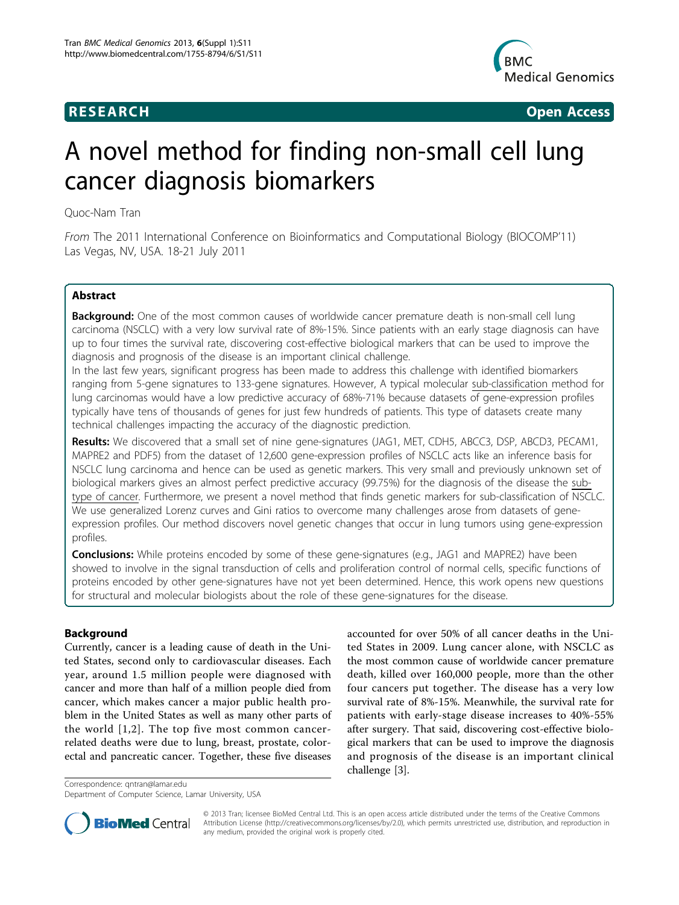

**RESEARCH CONSUMING ACCESS** 

# A novel method for finding non-small cell lung cancer diagnosis biomarkers

Quoc-Nam Tran

From The 2011 International Conference on Bioinformatics and Computational Biology (BIOCOMP'11) Las Vegas, NV, USA. 18-21 July 2011

# Abstract

**Background:** One of the most common causes of worldwide cancer premature death is non-small cell lung carcinoma (NSCLC) with a very low survival rate of 8%-15%. Since patients with an early stage diagnosis can have up to four times the survival rate, discovering cost-effective biological markers that can be used to improve the diagnosis and prognosis of the disease is an important clinical challenge.

In the last few years, significant progress has been made to address this challenge with identified biomarkers ranging from 5-gene signatures to 133-gene signatures. However, A typical molecular sub-classification method for lung carcinomas would have a low predictive accuracy of 68%-71% because datasets of gene-expression profiles typically have tens of thousands of genes for just few hundreds of patients. This type of datasets create many technical challenges impacting the accuracy of the diagnostic prediction.

Results: We discovered that a small set of nine gene-signatures (JAG1, MET, CDH5, ABCC3, DSP, ABCD3, PECAM1, MAPRE2 and PDF5) from the dataset of 12,600 gene-expression profiles of NSCLC acts like an inference basis for NSCLC lung carcinoma and hence can be used as genetic markers. This very small and previously unknown set of biological markers gives an almost perfect predictive accuracy (99.75%) for the diagnosis of the disease the subtype of cancer. Furthermore, we present a novel method that finds genetic markers for sub-classification of NSCLC. We use generalized Lorenz curves and Gini ratios to overcome many challenges arose from datasets of geneexpression profiles. Our method discovers novel genetic changes that occur in lung tumors using gene-expression profiles.

**Conclusions:** While proteins encoded by some of these gene-signatures (e.g., JAG1 and MAPRE2) have been showed to involve in the signal transduction of cells and proliferation control of normal cells, specific functions of proteins encoded by other gene-signatures have not yet been determined. Hence, this work opens new questions for structural and molecular biologists about the role of these gene-signatures for the disease.

# Background

Currently, cancer is a leading cause of death in the United States, second only to cardiovascular diseases. Each year, around 1.5 million people were diagnosed with cancer and more than half of a million people died from cancer, which makes cancer a major public health problem in the United States as well as many other parts of the world [[1,2](#page-8-0)]. The top five most common cancerrelated deaths were due to lung, breast, prostate, colorectal and pancreatic cancer. Together, these five diseases

accounted for over 50% of all cancer deaths in the United States in 2009. Lung cancer alone, with NSCLC as the most common cause of worldwide cancer premature death, killed over 160,000 people, more than the other four cancers put together. The disease has a very low survival rate of 8%-15%. Meanwhile, the survival rate for patients with early-stage disease increases to 40%-55% after surgery. That said, discovering cost-effective biological markers that can be used to improve the diagnosis and prognosis of the disease is an important clinical challenge [\[3\]](#page-8-0).

Correspondence: [qntran@lamar.edu](mailto:qntran@lamar.edu)

Department of Computer Science, Lamar University, USA



© 2013 Tran; licensee BioMed Central Ltd. This is an open access article distributed under the terms of the Creative Commons Attribution License [\(http://creativecommons.org/licenses/by/2.0](http://creativecommons.org/licenses/by/2.0)), which permits unrestricted use, distribution, and reproduction in any medium, provided the original work is properly cited.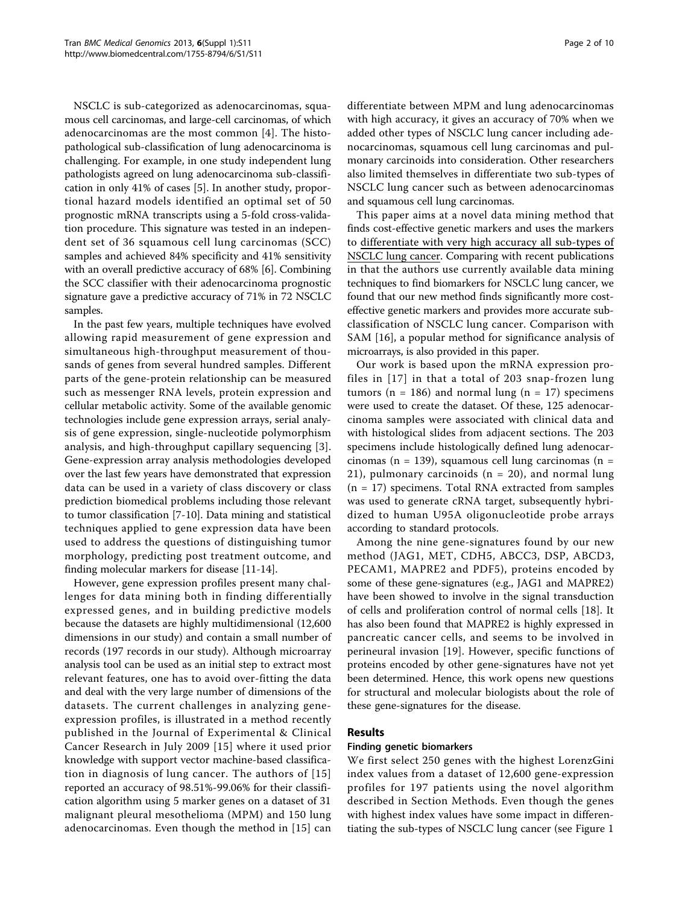NSCLC is sub-categorized as adenocarcinomas, squamous cell carcinomas, and large-cell carcinomas, of which adenocarcinomas are the most common [[4\]](#page-8-0). The histopathological sub-classification of lung adenocarcinoma is challenging. For example, in one study independent lung pathologists agreed on lung adenocarcinoma sub-classification in only 41% of cases [[5\]](#page-8-0). In another study, proportional hazard models identified an optimal set of 50 prognostic mRNA transcripts using a 5-fold cross-validation procedure. This signature was tested in an independent set of 36 squamous cell lung carcinomas (SCC) samples and achieved 84% specificity and 41% sensitivity with an overall predictive accuracy of 68% [\[6](#page-8-0)]. Combining the SCC classifier with their adenocarcinoma prognostic signature gave a predictive accuracy of 71% in 72 NSCLC samples.

In the past few years, multiple techniques have evolved allowing rapid measurement of gene expression and simultaneous high-throughput measurement of thousands of genes from several hundred samples. Different parts of the gene-protein relationship can be measured such as messenger RNA levels, protein expression and cellular metabolic activity. Some of the available genomic technologies include gene expression arrays, serial analysis of gene expression, single-nucleotide polymorphism analysis, and high-throughput capillary sequencing [[3](#page-8-0)]. Gene-expression array analysis methodologies developed over the last few years have demonstrated that expression data can be used in a variety of class discovery or class prediction biomedical problems including those relevant to tumor classification [\[7](#page-8-0)-[10\]](#page-8-0). Data mining and statistical techniques applied to gene expression data have been used to address the questions of distinguishing tumor morphology, predicting post treatment outcome, and finding molecular markers for disease [\[11](#page-8-0)-[14](#page-9-0)].

However, gene expression profiles present many challenges for data mining both in finding differentially expressed genes, and in building predictive models because the datasets are highly multidimensional (12,600 dimensions in our study) and contain a small number of records (197 records in our study). Although microarray analysis tool can be used as an initial step to extract most relevant features, one has to avoid over-fitting the data and deal with the very large number of dimensions of the datasets. The current challenges in analyzing geneexpression profiles, is illustrated in a method recently published in the Journal of Experimental & Clinical Cancer Research in July 2009 [[15](#page-9-0)] where it used prior knowledge with support vector machine-based classification in diagnosis of lung cancer. The authors of [[15](#page-9-0)] reported an accuracy of 98.51%-99.06% for their classification algorithm using 5 marker genes on a dataset of 31 malignant pleural mesothelioma (MPM) and 150 lung adenocarcinomas. Even though the method in [\[15\]](#page-9-0) can differentiate between MPM and lung adenocarcinomas with high accuracy, it gives an accuracy of 70% when we added other types of NSCLC lung cancer including adenocarcinomas, squamous cell lung carcinomas and pulmonary carcinoids into consideration. Other researchers also limited themselves in differentiate two sub-types of NSCLC lung cancer such as between adenocarcinomas and squamous cell lung carcinomas.

This paper aims at a novel data mining method that finds cost-effective genetic markers and uses the markers to differentiate with very high accuracy all sub-types of NSCLC lung cancer. Comparing with recent publications in that the authors use currently available data mining techniques to find biomarkers for NSCLC lung cancer, we found that our new method finds significantly more costeffective genetic markers and provides more accurate subclassification of NSCLC lung cancer. Comparison with SAM [\[16](#page-9-0)], a popular method for significance analysis of microarrays, is also provided in this paper.

Our work is based upon the mRNA expression profiles in [\[17](#page-9-0)] in that a total of 203 snap-frozen lung tumors ( $n = 186$ ) and normal lung ( $n = 17$ ) specimens were used to create the dataset. Of these, 125 adenocarcinoma samples were associated with clinical data and with histological slides from adjacent sections. The 203 specimens include histologically defined lung adenocarcinomas (n = 139), squamous cell lung carcinomas (n = 21), pulmonary carcinoids  $(n = 20)$ , and normal lung  $(n = 17)$  specimens. Total RNA extracted from samples was used to generate cRNA target, subsequently hybridized to human U95A oligonucleotide probe arrays according to standard protocols.

Among the nine gene-signatures found by our new method (JAG1, MET, CDH5, ABCC3, DSP, ABCD3, PECAM1, MAPRE2 and PDF5), proteins encoded by some of these gene-signatures (e.g., JAG1 and MAPRE2) have been showed to involve in the signal transduction of cells and proliferation control of normal cells [\[18](#page-9-0)]. It has also been found that MAPRE2 is highly expressed in pancreatic cancer cells, and seems to be involved in perineural invasion [[19\]](#page-9-0). However, specific functions of proteins encoded by other gene-signatures have not yet been determined. Hence, this work opens new questions for structural and molecular biologists about the role of these gene-signatures for the disease.

# Results

### Finding genetic biomarkers

We first select 250 genes with the highest LorenzGini index values from a dataset of 12,600 gene-expression profiles for 197 patients using the novel algorithm described in Section Methods. Even though the genes with highest index values have some impact in differentiating the sub-types of NSCLC lung cancer (see Figure [1](#page-2-0)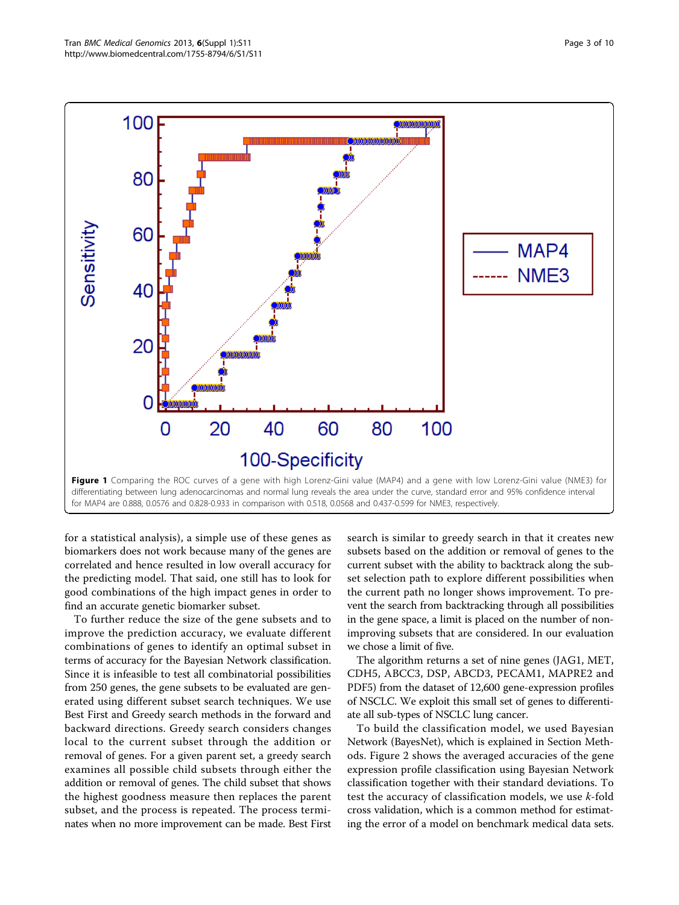<span id="page-2-0"></span>

for MAP4 are 0.888, 0.0576 and 0.828-0.933 in comparison with 0.518, 0.0568 and 0.437-0.599 for NME3, respectively.

for a statistical analysis), a simple use of these genes as biomarkers does not work because many of the genes are correlated and hence resulted in low overall accuracy for the predicting model. That said, one still has to look for good combinations of the high impact genes in order to find an accurate genetic biomarker subset.

To further reduce the size of the gene subsets and to improve the prediction accuracy, we evaluate different combinations of genes to identify an optimal subset in terms of accuracy for the Bayesian Network classification. Since it is infeasible to test all combinatorial possibilities from 250 genes, the gene subsets to be evaluated are generated using different subset search techniques. We use Best First and Greedy search methods in the forward and backward directions. Greedy search considers changes local to the current subset through the addition or removal of genes. For a given parent set, a greedy search examines all possible child subsets through either the addition or removal of genes. The child subset that shows the highest goodness measure then replaces the parent subset, and the process is repeated. The process terminates when no more improvement can be made. Best First search is similar to greedy search in that it creates new subsets based on the addition or removal of genes to the current subset with the ability to backtrack along the subset selection path to explore different possibilities when the current path no longer shows improvement. To prevent the search from backtracking through all possibilities in the gene space, a limit is placed on the number of nonimproving subsets that are considered. In our evaluation we chose a limit of five.

The algorithm returns a set of nine genes (JAG1, MET, CDH5, ABCC3, DSP, ABCD3, PECAM1, MAPRE2 and PDF5) from the dataset of 12,600 gene-expression profiles of NSCLC. We exploit this small set of genes to differentiate all sub-types of NSCLC lung cancer.

To build the classification model, we used Bayesian Network (BayesNet), which is explained in Section Methods. Figure [2](#page-3-0) shows the averaged accuracies of the gene expression profile classification using Bayesian Network classification together with their standard deviations. To test the accuracy of classification models, we use k-fold cross validation, which is a common method for estimating the error of a model on benchmark medical data sets.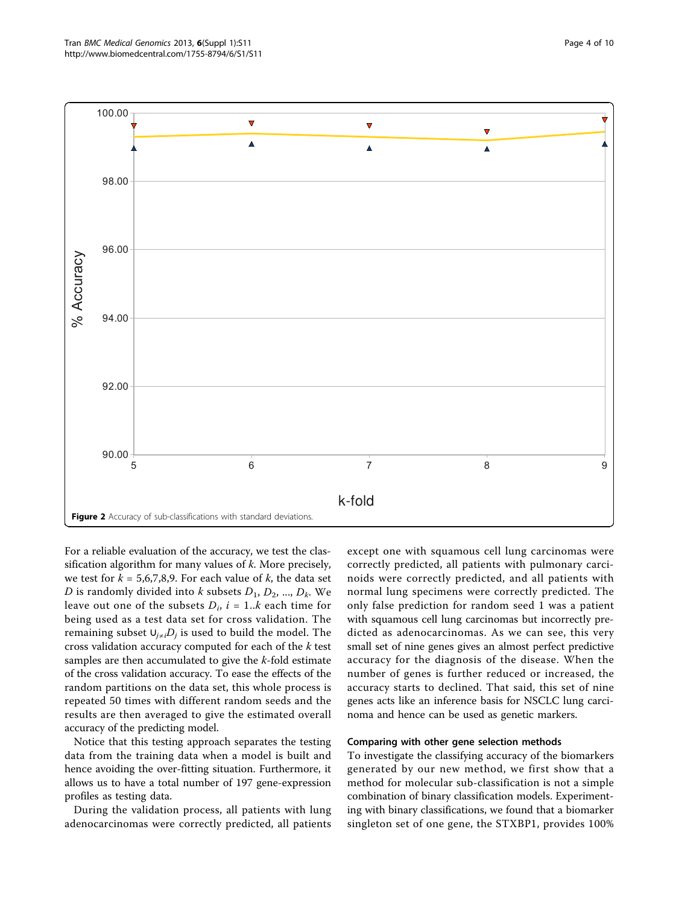<span id="page-3-0"></span>

For a reliable evaluation of the accuracy, we test the classification algorithm for many values of  $k$ . More precisely, we test for  $k = 5.6, 7, 8, 9$ . For each value of k, the data set D is randomly divided into k subsets  $D_1$ ,  $D_2$ , ...,  $D_k$ . We leave out one of the subsets  $D_i$ ,  $i = 1..k$  each time for being used as a test data set for cross validation. The remaining subset  $∪_{j\neq i}D_j$  is used to build the model. The cross validation accuracy computed for each of the k test samples are then accumulated to give the k-fold estimate of the cross validation accuracy. To ease the effects of the random partitions on the data set, this whole process is repeated 50 times with different random seeds and the results are then averaged to give the estimated overall accuracy of the predicting model.

Notice that this testing approach separates the testing data from the training data when a model is built and hence avoiding the over-fitting situation. Furthermore, it allows us to have a total number of 197 gene-expression profiles as testing data.

During the validation process, all patients with lung adenocarcinomas were correctly predicted, all patients

except one with squamous cell lung carcinomas were correctly predicted, all patients with pulmonary carcinoids were correctly predicted, and all patients with normal lung specimens were correctly predicted. The only false prediction for random seed 1 was a patient with squamous cell lung carcinomas but incorrectly predicted as adenocarcinomas. As we can see, this very small set of nine genes gives an almost perfect predictive accuracy for the diagnosis of the disease. When the number of genes is further reduced or increased, the accuracy starts to declined. That said, this set of nine genes acts like an inference basis for NSCLC lung carcinoma and hence can be used as genetic markers.

### Comparing with other gene selection methods

To investigate the classifying accuracy of the biomarkers generated by our new method, we first show that a method for molecular sub-classification is not a simple combination of binary classification models. Experimenting with binary classifications, we found that a biomarker singleton set of one gene, the STXBP1, provides 100%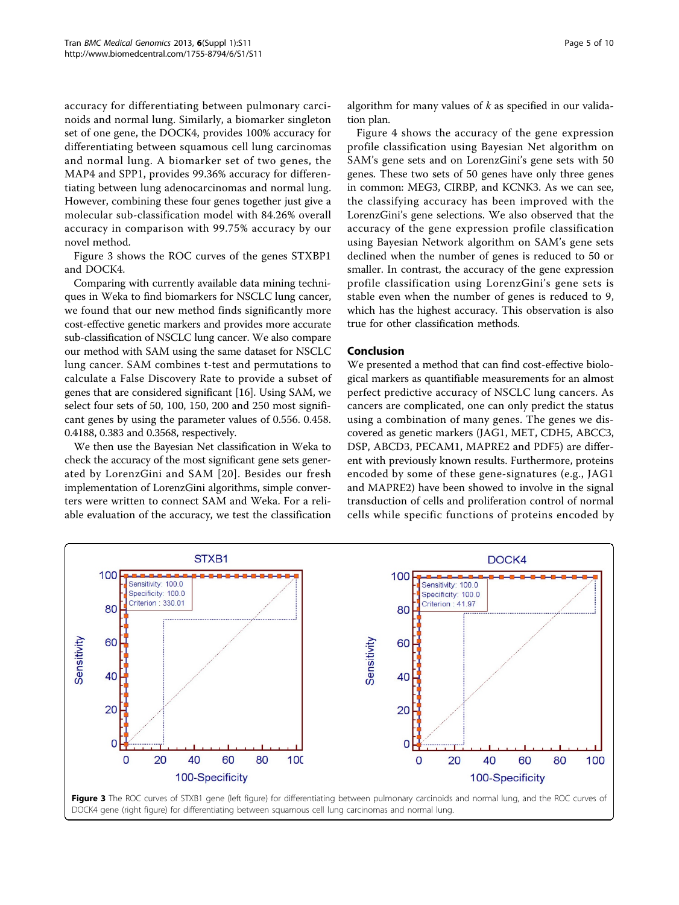accuracy for differentiating between pulmonary carcinoids and normal lung. Similarly, a biomarker singleton set of one gene, the DOCK4, provides 100% accuracy for differentiating between squamous cell lung carcinomas and normal lung. A biomarker set of two genes, the MAP4 and SPP1, provides 99.36% accuracy for differentiating between lung adenocarcinomas and normal lung. However, combining these four genes together just give a molecular sub-classification model with 84.26% overall accuracy in comparison with 99.75% accuracy by our novel method.

Figure 3 shows the ROC curves of the genes STXBP1 and DOCK4.

Comparing with currently available data mining techniques in Weka to find biomarkers for NSCLC lung cancer, we found that our new method finds significantly more cost-effective genetic markers and provides more accurate sub-classification of NSCLC lung cancer. We also compare our method with SAM using the same dataset for NSCLC lung cancer. SAM combines t-test and permutations to calculate a False Discovery Rate to provide a subset of genes that are considered significant [[16](#page-9-0)]. Using SAM, we select four sets of 50, 100, 150, 200 and 250 most significant genes by using the parameter values of 0.556. 0.458. 0.4188, 0.383 and 0.3568, respectively.

We then use the Bayesian Net classification in Weka to check the accuracy of the most significant gene sets generated by LorenzGini and SAM [\[20\]](#page-9-0). Besides our fresh implementation of LorenzGini algorithms, simple converters were written to connect SAM and Weka. For a reliable evaluation of the accuracy, we test the classification

Figure [4](#page-5-0) shows the accuracy of the gene expression profile classification using Bayesian Net algorithm on SAM's gene sets and on LorenzGini's gene sets with 50 genes. These two sets of 50 genes have only three genes in common: MEG3, CIRBP, and KCNK3. As we can see, the classifying accuracy has been improved with the LorenzGini's gene selections. We also observed that the accuracy of the gene expression profile classification using Bayesian Network algorithm on SAM's gene sets declined when the number of genes is reduced to 50 or smaller. In contrast, the accuracy of the gene expression profile classification using LorenzGini's gene sets is stable even when the number of genes is reduced to 9, which has the highest accuracy. This observation is also true for other classification methods.

# Conclusion

We presented a method that can find cost-effective biological markers as quantifiable measurements for an almost perfect predictive accuracy of NSCLC lung cancers. As cancers are complicated, one can only predict the status using a combination of many genes. The genes we discovered as genetic markers (JAG1, MET, CDH5, ABCC3, DSP, ABCD3, PECAM1, MAPRE2 and PDF5) are different with previously known results. Furthermore, proteins encoded by some of these gene-signatures (e.g., JAG1 and MAPRE2) have been showed to involve in the signal transduction of cells and proliferation control of normal cells while specific functions of proteins encoded by

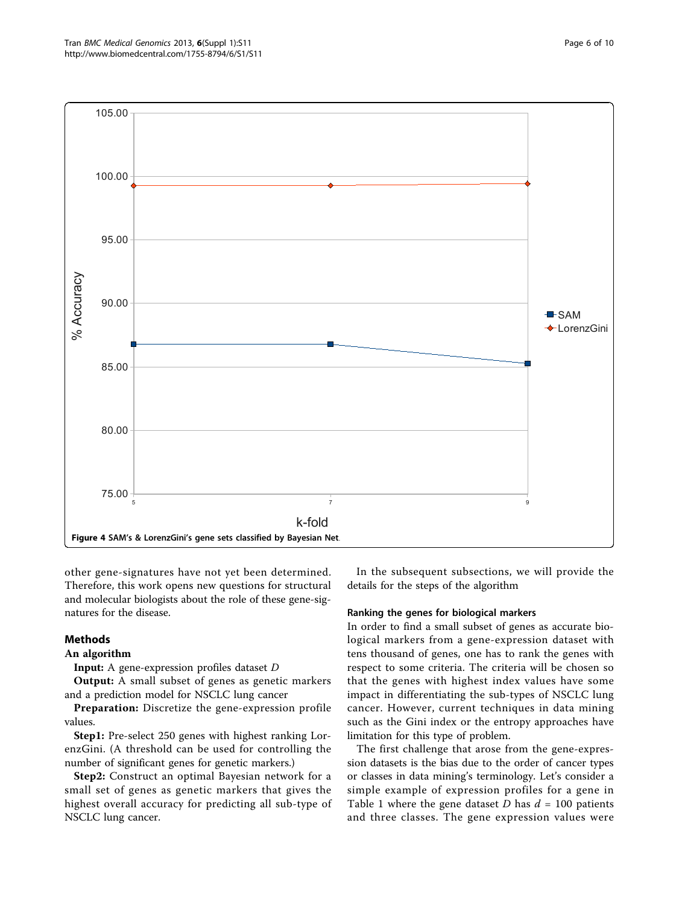<span id="page-5-0"></span>

other gene-signatures have not yet been determined. Therefore, this work opens new questions for structural and molecular biologists about the role of these gene-signatures for the disease.

# Methods

**Input:** A gene-expression profiles dataset D<br>Output: A small subset of genes as genet

Output: A small subset of genes as genetic markers and a prediction model for NSCLC lung cancer

Preparation: Discretize the gene-expression profile values.

Step1: Pre-select 250 genes with highest ranking LorenzGini. (A threshold can be used for controlling the number of significant genes for genetic markers.)

Step2: Construct an optimal Bayesian network for a small set of genes as genetic markers that gives the highest overall accuracy for predicting all sub-type of NSCLC lung cancer.

In the subsequent subsections, we will provide the details for the steps of the algorithm

## Ranking the genes for biological markers

In order to find a small subset of genes as accurate biological markers from a gene-expression dataset with tens thousand of genes, one has to rank the genes with respect to some criteria. The criteria will be chosen so that the genes with highest index values have some impact in differentiating the sub-types of NSCLC lung cancer. However, current techniques in data mining such as the Gini index or the entropy approaches have limitation for this type of problem.

The first challenge that arose from the gene-expression datasets is the bias due to the order of cancer types or classes in data mining's terminology. Let's consider a simple example of expression profiles for a gene in Table [1](#page-6-0) where the gene dataset D has  $d = 100$  patients and three classes. The gene expression values were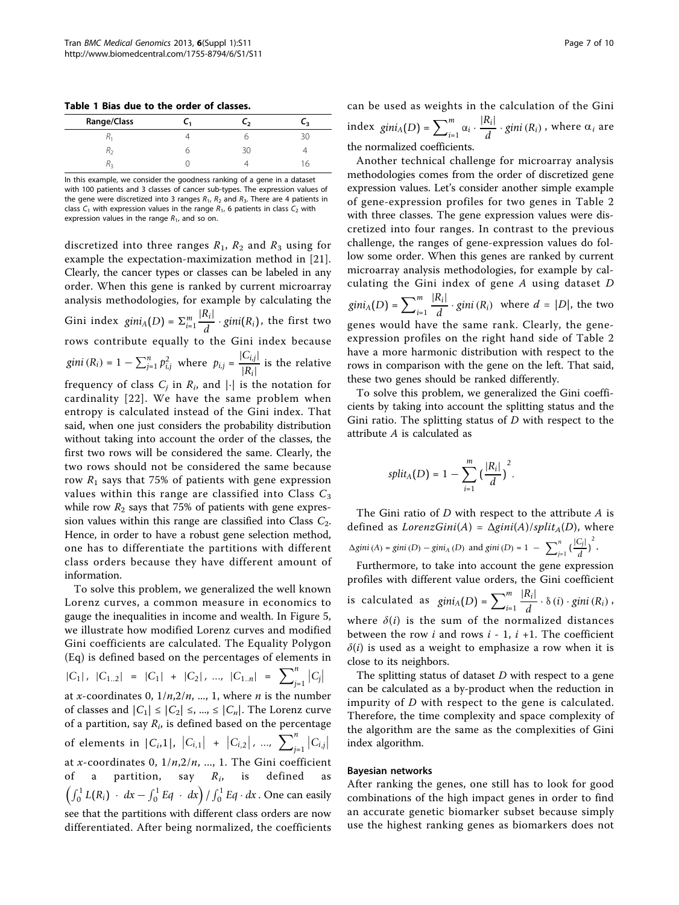<span id="page-6-0"></span>Table 1 Bias due to the order of classes.

| <b>Range/Class</b> | - 2 | - 2 |
|--------------------|-----|-----|
|                    |     |     |
|                    | 3U  |     |
|                    |     | 'n  |

In this example, we consider the goodness ranking of a gene in a dataset with 100 patients and 3 classes of cancer sub-types. The expression values of the gene were discretized into 3 ranges  $R_1$ ,  $R_2$  and  $R_3$ . There are 4 patients in class  $C_1$  with expression values in the range  $R_1$ , 6 patients in class  $C_2$  with expression values in the range  $R_1$ , and so on.

discretized into three ranges  $R_1$ ,  $R_2$  and  $R_3$  using for example the expectation-maximization method in [[21](#page-9-0)]. Clearly, the cancer types or classes can be labeled in any order. When this gene is ranked by current microarray analysis methodologies, for example by calculating the Gini index  $gini_A(D) = \sum_{i=1}^m \frac{|R_i|}{d} \cdot gini(R_i)$ , the first two rows contribute equally to the Gini index because *gini*  $(R_i) = 1 - \sum_{j=1}^{n} p_{i,j}^2$  where  $p_{i,j} = \frac{|C_{i,j}|}{|R_i|}$  $\frac{|\mathcal{L}_{i,j}|}{|R_i|}$  is the relative frequency of class  $C_i$  in  $R_i$ , and  $|\cdot|$  is the notation for cardinality [[22\]](#page-9-0). We have the same problem when entropy is calculated instead of the Gini index. That said, when one just considers the probability distribution without taking into account the order of the classes, the first two rows will be considered the same. Clearly, the two rows should not be considered the same because row  $R_1$  says that 75% of patients with gene expression values within this range are classified into Class  $C_3$ while row  $R_2$  says that 75% of patients with gene expression values within this range are classified into Class  $C_2$ . Hence, in order to have a robust gene selection method, one has to differentiate the partitions with different class orders because they have different amount of information.

To solve this problem, we generalized the well known Lorenz curves, a common measure in economics to gauge the inequalities in income and wealth. In Figure [5](#page-7-0), we illustrate how modified Lorenz curves and modified Gini coefficients are calculated. The Equality Polygon (Eq) is defined based on the percentages of elements in

$$
|C_1|, |C_{1..2}| = |C_1| + |C_2|, ..., |C_{1..n}| = \sum_{j=1}^{n} |C_j|
$$

at x-coordinates 0,  $1/n, 2/n, ..., 1$ , where *n* is the number of classes and  $|C_1| \leq |C_2| \leq \ldots \leq |C_n|$ . The Lorenz curve of a partition, say  $R_i$ , is defined based on the percentage of elements in  $|C_{i,1}|$ ,  $|C_{i,1}|$  +  $|C_{i,2}|$ , ...,  $\sum_{j=1}^{n}|C_{i,j}|$ at x-coordinates 0,  $1/n$ ,  $2/n$ , ..., 1. The Gini coefficient of a partition, say  $R_i$ , is defined as  $\left(\int_0^1 L(R_i) \cdot dx - \int_0^1 Eq \cdot dx\right) / \int_0^1 Eq \cdot dx$  . One can easily see that the partitions with different class orders are now differentiated. After being normalized, the coefficients Page 7 of 10

can be used as weights in the calculation of the Gini index  $gini_A(D) = \sum_{i=1}^m \alpha_i \cdot \frac{|R_i|}{d} \cdot gini(R_i)$ , where  $\alpha_i$  are the normalized coefficients.

Another technical challenge for microarray analysis methodologies comes from the order of discretized gene expression values. Let's consider another simple example of gene-expression profiles for two genes in Table [2](#page-7-0) with three classes. The gene expression values were discretized into four ranges. In contrast to the previous challenge, the ranges of gene-expression values do follow some order. When this genes are ranked by current microarray analysis methodologies, for example by calculating the Gini index of gene A using dataset D  $gini_A(D) = \sum_{i=1}^m$  $\frac{|R_i|}{d} \cdot gini(R_i)$  where  $d = |D|$ , the two genes would have the same rank. Clearly, the geneexpression profiles on the right hand side of Table [2](#page-7-0) have a more harmonic distribution with respect to the rows in comparison with the gene on the left. That said, these two genes should be ranked differently.

To solve this problem, we generalized the Gini coefficients by taking into account the splitting status and the Gini ratio. The splitting status of  $D$  with respect to the attribute A is calculated as

$$
split_A(D) = 1 - \sum_{i=1}^m \big(\frac{|R_i|}{d}\big)^2.
$$

The Gini ratio of  $D$  with respect to the attribute  $A$  is defined as  $LorenzGini(A) = \Delta gini(A)/split_A(D)$ , where  $\Delta$ *gini* (*A*) = *gini* (*D*) – *gini*<sub>A</sub> (*D*) and *gini* (*D*) = 1 –  $\sum_{j=1}^{n} \left(\frac{|C_j|}{d}\right)^2$ .

Furthermore, to take into account the gene expression profiles with different value orders, the Gini coefficient is calculated as  $gini_A(D) = \sum_{i=1}^m$  $\frac{|R_i|}{d} \cdot \delta(i) \cdot \text{gini}(R_i)$ where  $\delta(i)$  is the sum of the normalized distances between the row  $i$  and rows  $i - 1$ ,  $i + 1$ . The coefficient  $\delta(i)$  is used as a weight to emphasize a row when it is close to its neighbors.

The splitting status of dataset  $D$  with respect to a gene can be calculated as a by-product when the reduction in impurity of D with respect to the gene is calculated. Therefore, the time complexity and space complexity of the algorithm are the same as the complexities of Gini index algorithm.

# Bayesian networks

After ranking the genes, one still has to look for good combinations of the high impact genes in order to find an accurate genetic biomarker subset because simply use the highest ranking genes as biomarkers does not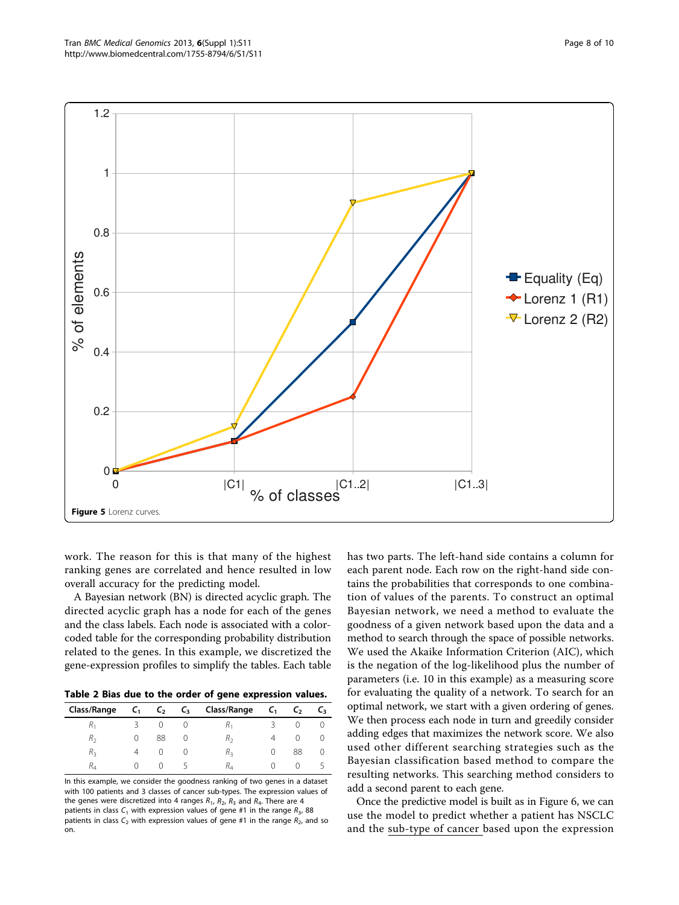<span id="page-7-0"></span>

work. The reason for this is that many of the highest ranking genes are correlated and hence resulted in low overall accuracy for the predicting model.

A Bayesian network (BN) is directed acyclic graph. The directed acyclic graph has a node for each of the genes and the class labels. Each node is associated with a colorcoded table for the corresponding probability distribution related to the genes. In this example, we discretized the gene-expression profiles to simplify the tables. Each table

Table 2 Bias due to the order of gene expression values.

| Class/Range    | $C_{1}$          | $C_{2}$ | $\mathsf{C}_3$ | Class/Range | $C_{1}$ | L, | L٦. |
|----------------|------------------|---------|----------------|-------------|---------|----|-----|
| $\mathsf{m}_1$ |                  |         | U              | ñ۱          |         |    |     |
| R,             | $\left( \right)$ | 88      | U              | R,          |         |    |     |
| $R_{3}$        | 4                |         | U              | Rą          |         | 88 | U   |
| $H_4$          | O                |         |                | K,          |         |    |     |

In this example, we consider the goodness ranking of two genes in a dataset with 100 patients and 3 classes of cancer sub-types. The expression values of the genes were discretized into 4 ranges  $R_1$ ,  $R_2$ ,  $R_3$  and  $R_4$ . There are 4 patients in class  $C_1$  with expression values of gene #1 in the range  $R_3$ , 88 patients in class  $C_2$  with expression values of gene #1 in the range  $R_2$ , and so on.

has two parts. The left-hand side contains a column for each parent node. Each row on the right-hand side contains the probabilities that corresponds to one combination of values of the parents. To construct an optimal Bayesian network, we need a method to evaluate the goodness of a given network based upon the data and a method to search through the space of possible networks. We used the Akaike Information Criterion (AIC), which is the negation of the log-likelihood plus the number of parameters (i.e. 10 in this example) as a measuring score for evaluating the quality of a network. To search for an optimal network, we start with a given ordering of genes. We then process each node in turn and greedily consider adding edges that maximizes the network score. We also used other different searching strategies such as the Bayesian classification based method to compare the resulting networks. This searching method considers to add a second parent to each gene.

Once the predictive model is built as in Figure [6](#page-8-0), we can use the model to predict whether a patient has NSCLC and the sub-type of cancer based upon the expression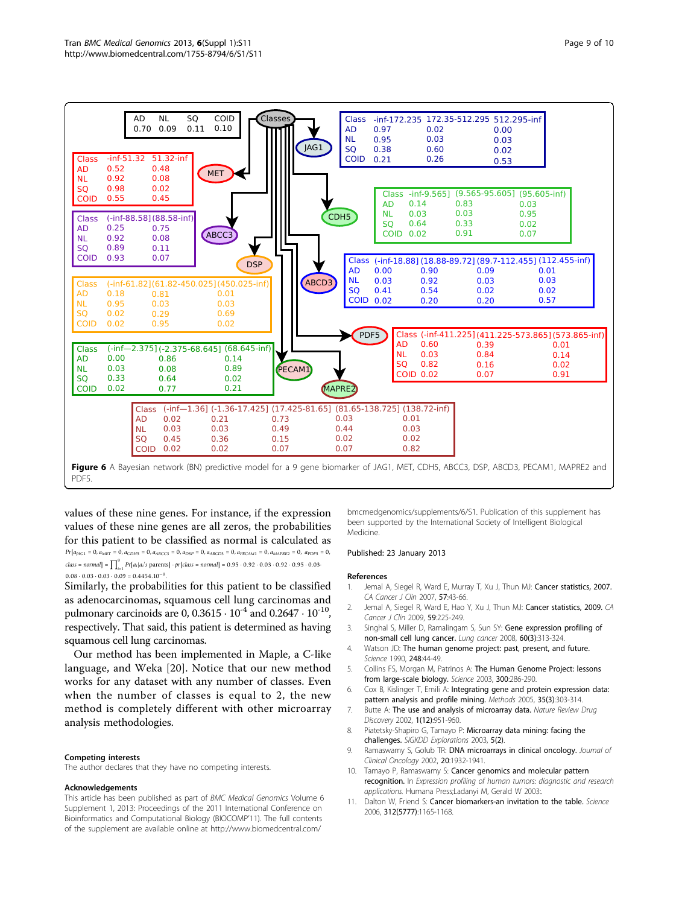<span id="page-8-0"></span>

values of these nine genes. For instance, if the expression values of these nine genes are all zeros, the probabilities for this patient to be classified as normal is calculated as *Pr*[*aJAG*<sup>1</sup> = 0, *aMET* = 0, *aCDH*<sup>5</sup> = 0, *aABCC*<sup>3</sup> = 0, *aDSP* = 0, *aABCD*<sup>3</sup> = 0, *aPECAM*<sup>1</sup> = 0, *aMAPRE*<sup>2</sup> = 0, *aPDF*<sup>5</sup> = 0,  $class = normal$   $= \prod_{i=1}^{9} Pr[a_i|a_i]$ 's parents $] \cdot pr[class = normal] = 0.95 \cdot 0.92 \cdot 0.03 \cdot 0.92 \cdot 0.95 \cdot 0.03$  $0.08 \cdot 0.03 \cdot 0.03 \cdot 0.09 = 0.4454.10^{-8}$ 

Similarly, the probabilities for this patient to be classified as adenocarcinomas, squamous cell lung carcinomas and pulmonary carcinoids are 0,  $0.3615 \cdot 10^{-4}$  and  $0.2647 \cdot 10^{-10}$ , respectively. That said, this patient is determined as having squamous cell lung carcinomas.

Our method has been implemented in Maple, a C-like language, and Weka [\[20](#page-9-0)]. Notice that our new method works for any dataset with any number of classes. Even when the number of classes is equal to 2, the new method is completely different with other microarray analysis methodologies.

### Competing interests

The author declares that they have no competing interests.

### Acknowledgements

This article has been published as part of BMC Medical Genomics Volume 6 Supplement 1, 2013: Proceedings of the 2011 International Conference on Bioinformatics and Computational Biology (BIOCOMP'11). The full contents of the supplement are available online at [http://www.biomedcentral.com/](http://www.biomedcentral.com/bmcmedgenomics/supplements/6/S1)

[bmcmedgenomics/supplements/6/S1.](http://www.biomedcentral.com/bmcmedgenomics/supplements/6/S1) Publication of this supplement has been supported by the International Society of Intelligent Biological Medicine.

### Published: 23 January 2013

### References

- 1. Jemal A, Siegel R, Ward E, Murray T, Xu J, Thun MJ: [Cancer statistics, 2007.](http://www.ncbi.nlm.nih.gov/pubmed/17237035?dopt=Abstract) CA Cancer J Clin 2007, 57:43-66.
- 2. Jemal A, Siegel R, Ward E, Hao Y, Xu J, Thun MJ: [Cancer statistics, 2009.](http://www.ncbi.nlm.nih.gov/pubmed/19474385?dopt=Abstract) CA Cancer J Clin 2009, 59:225-249.
- 3. Singhal S, Miller D, Ramalingam S, Sun SY: [Gene expression profiling of](http://www.ncbi.nlm.nih.gov/pubmed/18440087?dopt=Abstract) [non-small cell lung cancer.](http://www.ncbi.nlm.nih.gov/pubmed/18440087?dopt=Abstract) Lung cancer 2008, 60(3):313-324.
- 4. Watson JD: [The human genome project: past, present, and future.](http://www.ncbi.nlm.nih.gov/pubmed/2181665?dopt=Abstract) Science 1990, 248:44-49.
- 5. Collins FS, Morgan M, Patrinos A: [The Human Genome Project: lessons](http://www.ncbi.nlm.nih.gov/pubmed/12690187?dopt=Abstract) [from large-scale biology.](http://www.ncbi.nlm.nih.gov/pubmed/12690187?dopt=Abstract) Science 2003, 300:286-290.
- 6. Cox B, Kislinger T, Emili A: [Integrating gene and protein expression data:](http://www.ncbi.nlm.nih.gov/pubmed/15722226?dopt=Abstract) [pattern analysis and profile mining.](http://www.ncbi.nlm.nih.gov/pubmed/15722226?dopt=Abstract) Methods 2005, 35(3):303-314.
- 7. Butte A: The use and analysis of microarray data. Nature Review Drug Discovery 2002, 1(12):951-960.
- 8. Piatetsky-Shapiro G, Tamayo P: Microarray data mining: facing the challenges. SIGKDD Explorations 2003, 5(2).
- 9. Ramaswamy S, Golub TR: [DNA microarrays in clinical oncology.](http://www.ncbi.nlm.nih.gov/pubmed/11919254?dopt=Abstract) Journal of Clinical Oncology 2002, 20:1932-1941.
- 10. Tamayo P, Ramaswamy S: Cancer genomics and molecular pattern recognition. In Expression profiling of human tumors: diagnostic and research applications. Humana Press;Ladanyi M, Gerald W 2003:.
- 11. Dalton W, Friend S: [Cancer biomarkers-an invitation to the table.](http://www.ncbi.nlm.nih.gov/pubmed/16728629?dopt=Abstract) Science 2006, 312(5777):1165-1168.